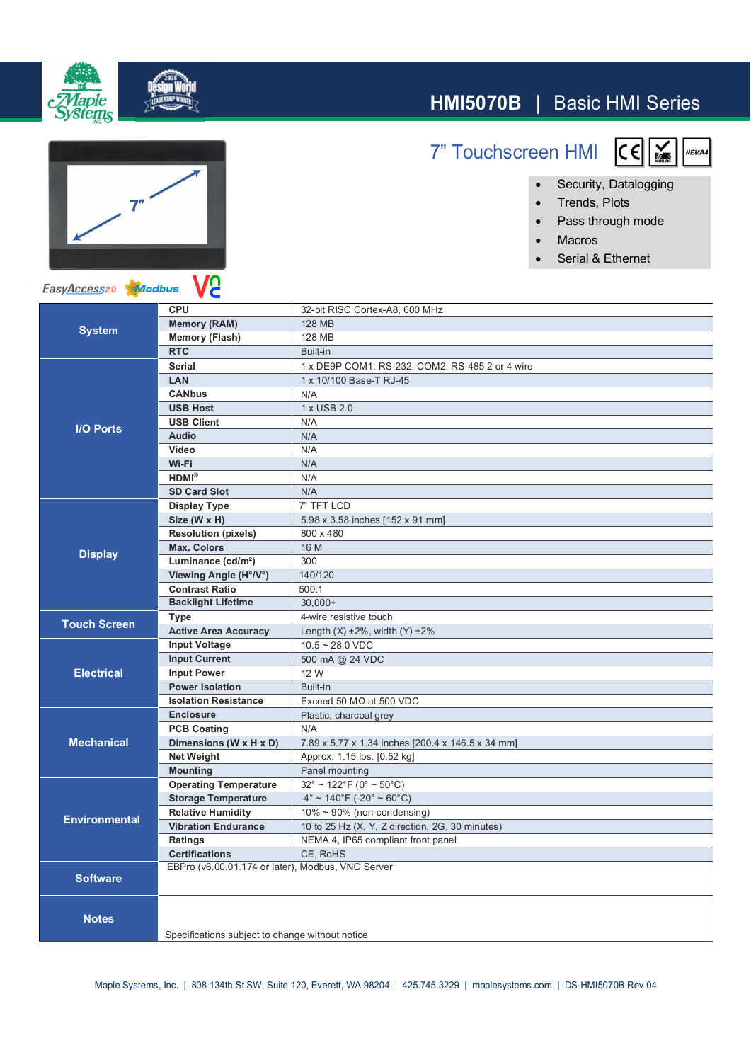

## **HMI5070B** | Basic HMI Series

7" Touchscreen HMI



● Security, Datalogging

 $C \in$ 

- ∂ Trends, Plots
- ∂ Pass through mode
- ∂ Macros
- ∂ Serial & Ethernet



EasyAccess20 Modbus

| <b>System</b>        | <b>CPU</b>                                        | 32-bit RISC Cortex-A8, 600 MHz                    |
|----------------------|---------------------------------------------------|---------------------------------------------------|
|                      | <b>Memory (RAM)</b>                               | 128 MB                                            |
|                      | <b>Memory (Flash)</b>                             | 128 MB                                            |
|                      | <b>RTC</b>                                        | Built-in                                          |
| <b>I/O Ports</b>     | <b>Serial</b>                                     | 1 x DE9P COM1: RS-232, COM2: RS-485 2 or 4 wire   |
|                      | LAN                                               | 1 x 10/100 Base-T RJ-45                           |
|                      | <b>CANbus</b>                                     | N/A                                               |
|                      | <b>USB Host</b>                                   | 1 x USB 2.0                                       |
|                      | <b>USB Client</b>                                 | N/A                                               |
|                      | <b>Audio</b>                                      | N/A                                               |
|                      | Video                                             | N/A                                               |
|                      | Wi-Fi                                             | N/A                                               |
|                      | $HDMI^{\otimes}$                                  | N/A                                               |
|                      | <b>SD Card Slot</b>                               | N/A                                               |
| <b>Display</b>       | <b>Display Type</b>                               | 7" TFT LCD                                        |
|                      | Size (W x H)                                      | 5.98 x 3.58 inches [152 x 91 mm]                  |
|                      | <b>Resolution (pixels)</b>                        | 800 x 480                                         |
|                      | <b>Max. Colors</b>                                | 16 M                                              |
|                      | Luminance (cd/m <sup>2</sup> )                    | 300                                               |
|                      | Viewing Angle (H°/V°)                             | 140/120                                           |
|                      | <b>Contrast Ratio</b>                             | 500:1                                             |
|                      | <b>Backlight Lifetime</b>                         | $30.000+$                                         |
| <b>Touch Screen</b>  | <b>Type</b>                                       | 4-wire resistive touch                            |
|                      | <b>Active Area Accuracy</b>                       | Length $(X)$ ±2%, width $(Y)$ ±2%                 |
| <b>Electrical</b>    | <b>Input Voltage</b>                              | $10.5 - 28.0$ VDC                                 |
|                      | <b>Input Current</b>                              | 500 mA @ 24 VDC                                   |
|                      | <b>Input Power</b>                                | 12 W                                              |
|                      | <b>Power Isolation</b>                            | Built-in                                          |
|                      | <b>Isolation Resistance</b>                       | Exceed 50 $M\Omega$ at 500 VDC                    |
| <b>Mechanical</b>    | <b>Enclosure</b>                                  | Plastic, charcoal grey                            |
|                      | <b>PCB Coating</b>                                | N/A                                               |
|                      | Dimensions (W x H x D)                            | 7.89 x 5.77 x 1.34 inches [200.4 x 146.5 x 34 mm] |
|                      | <b>Net Weight</b>                                 | Approx. 1.15 lbs. [0.52 kg]                       |
|                      | <b>Mounting</b>                                   | Panel mounting                                    |
| <b>Environmental</b> | <b>Operating Temperature</b>                      | $32^{\circ} \sim 122^{\circ}$ F (0° ~ 50°C)       |
|                      | <b>Storage Temperature</b>                        | $-4^{\circ}$ ~ 140°F (-20° ~ 60°C)                |
|                      | <b>Relative Humidity</b>                          | $10\% \sim 90\%$ (non-condensing)                 |
|                      | <b>Vibration Endurance</b>                        | 10 to 25 Hz (X, Y, Z direction, 2G, 30 minutes)   |
|                      | Ratings                                           | NEMA 4, IP65 compliant front panel                |
|                      | <b>Certifications</b>                             | CE. RoHS                                          |
| <b>Software</b>      | EBPro (v6.00.01.174 or later), Modbus, VNC Server |                                                   |
|                      |                                                   |                                                   |
| <b>Notes</b>         |                                                   |                                                   |
|                      |                                                   |                                                   |
|                      | Specifications subject to change without notice   |                                                   |
|                      |                                                   |                                                   |